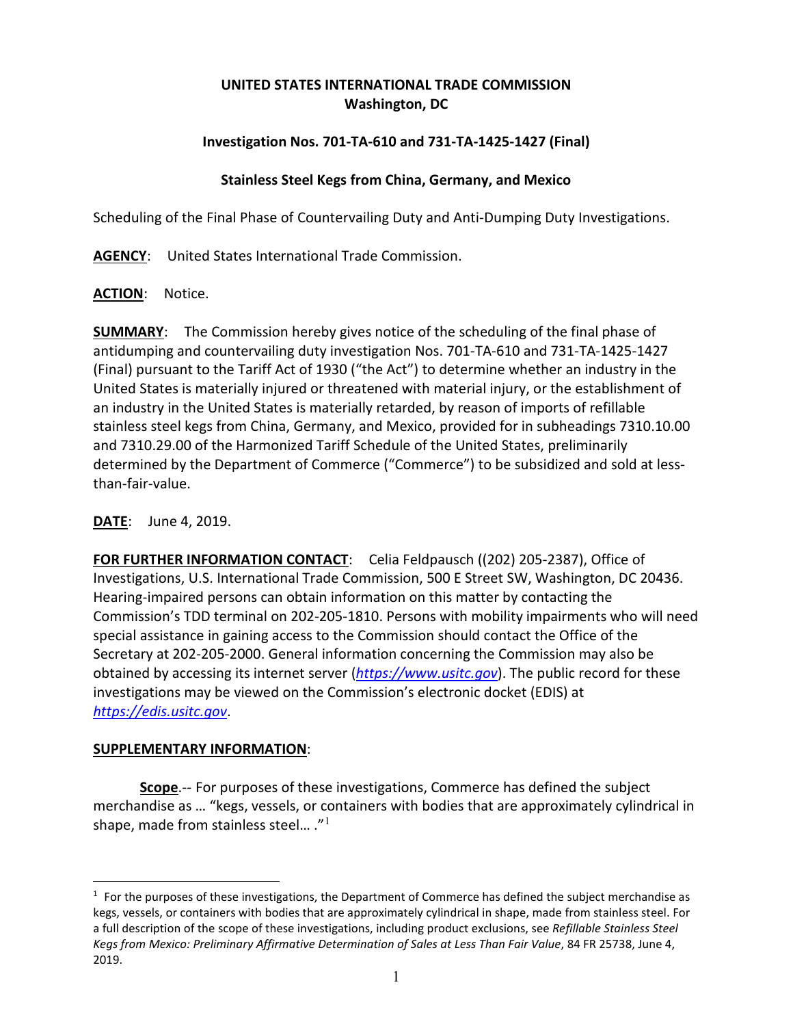## **UNITED STATES INTERNATIONAL TRADE COMMISSION Washington, DC**

# **Investigation Nos. 701-TA-610 and 731-TA-1425-1427 (Final)**

## **Stainless Steel Kegs from China, Germany, and Mexico**

Scheduling of the Final Phase of Countervailing Duty and Anti-Dumping Duty Investigations.

**AGENCY**: United States International Trade Commission.

### **ACTION**: Notice.

**SUMMARY**: The Commission hereby gives notice of the scheduling of the final phase of antidumping and countervailing duty investigation Nos. 701-TA-610 and 731-TA-1425-1427 (Final) pursuant to the Tariff Act of 1930 ("the Act") to determine whether an industry in the United States is materially injured or threatened with material injury, or the establishment of an industry in the United States is materially retarded, by reason of imports of refillable stainless steel kegs from China, Germany, and Mexico, provided for in subheadings 7310.10.00 and 7310.29.00 of the Harmonized Tariff Schedule of the United States, preliminarily determined by the Department of Commerce ("Commerce") to be subsidized and sold at lessthan-fair-value.

### **DATE**: June 4, 2019.

**FOR FURTHER INFORMATION CONTACT**: Celia Feldpausch ((202) 205-2387), Office of Investigations, U.S. International Trade Commission, 500 E Street SW, Washington, DC 20436. Hearing-impaired persons can obtain information on this matter by contacting the Commission's TDD terminal on 202-205-1810. Persons with mobility impairments who will need special assistance in gaining access to the Commission should contact the Office of the Secretary at 202-205-2000. General information concerning the Commission may also be obtained by accessing its internet server (*[https://www.usitc.gov](https://www.usitc.gov/)*). The public record for these investigations may be viewed on the Commission's electronic docket (EDIS) at *[https://edis.usitc.gov](https://edis.usitc.gov/)*.

### **SUPPLEMENTARY INFORMATION**:

 $\overline{a}$ 

**Scope**.-- For purposes of these investigations, Commerce has defined the subject merchandise as … "kegs, vessels, or containers with bodies that are approximately cylindrical in shape, made from stainless steel...  $.^{n_1}$  $.^{n_1}$  $.^{n_1}$ 

<span id="page-0-0"></span> $1$  For the purposes of these investigations, the Department of Commerce has defined the subject merchandise as kegs, vessels, or containers with bodies that are approximately cylindrical in shape, made from stainless steel. For a full description of the scope of these investigations, including product exclusions, see *Refillable Stainless Steel Kegs from Mexico: Preliminary Affirmative Determination of Sales at Less Than Fair Value*, 84 FR 25738, June 4, 2019.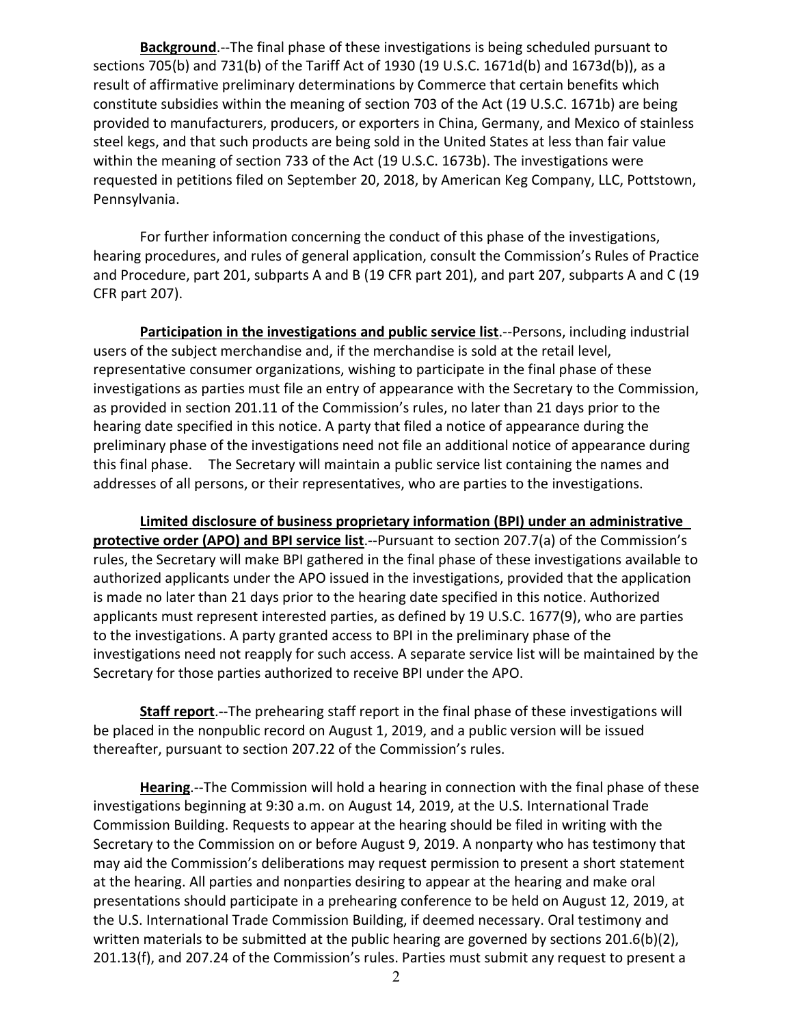**Background**.--The final phase of these investigations is being scheduled pursuant to sections 705(b) and 731(b) of the Tariff Act of 1930 (19 U.S.C. 1671d(b) and 1673d(b)), as a result of affirmative preliminary determinations by Commerce that certain benefits which constitute subsidies within the meaning of section 703 of the Act (19 U.S.C. 1671b) are being provided to manufacturers, producers, or exporters in China, Germany, and Mexico of stainless steel kegs, and that such products are being sold in the United States at less than fair value within the meaning of section 733 of the Act (19 U.S.C. 1673b). The investigations were requested in petitions filed on September 20, 2018, by American Keg Company, LLC, Pottstown, Pennsylvania.

For further information concerning the conduct of this phase of the investigations, hearing procedures, and rules of general application, consult the Commission's Rules of Practice and Procedure, part 201, subparts A and B (19 CFR part 201), and part 207, subparts A and C (19 CFR part 207).

**Participation in the investigations and public service list**.--Persons, including industrial users of the subject merchandise and, if the merchandise is sold at the retail level, representative consumer organizations, wishing to participate in the final phase of these investigations as parties must file an entry of appearance with the Secretary to the Commission, as provided in section 201.11 of the Commission's rules, no later than 21 days prior to the hearing date specified in this notice. A party that filed a notice of appearance during the preliminary phase of the investigations need not file an additional notice of appearance during this final phase. The Secretary will maintain a public service list containing the names and addresses of all persons, or their representatives, who are parties to the investigations.

**Limited disclosure of business proprietary information (BPI) under an administrative protective order (APO) and BPI service list**.--Pursuant to section 207.7(a) of the Commission's rules, the Secretary will make BPI gathered in the final phase of these investigations available to authorized applicants under the APO issued in the investigations, provided that the application is made no later than 21 days prior to the hearing date specified in this notice. Authorized applicants must represent interested parties, as defined by 19 U.S.C. 1677(9), who are parties to the investigations. A party granted access to BPI in the preliminary phase of the investigations need not reapply for such access. A separate service list will be maintained by the Secretary for those parties authorized to receive BPI under the APO.

**Staff report**.--The prehearing staff report in the final phase of these investigations will be placed in the nonpublic record on August 1, 2019, and a public version will be issued thereafter, pursuant to section 207.22 of the Commission's rules.

**Hearing**.--The Commission will hold a hearing in connection with the final phase of these investigations beginning at 9:30 a.m. on August 14, 2019, at the U.S. International Trade Commission Building. Requests to appear at the hearing should be filed in writing with the Secretary to the Commission on or before August 9, 2019. A nonparty who has testimony that may aid the Commission's deliberations may request permission to present a short statement at the hearing. All parties and nonparties desiring to appear at the hearing and make oral presentations should participate in a prehearing conference to be held on August 12, 2019, at the U.S. International Trade Commission Building, if deemed necessary. Oral testimony and written materials to be submitted at the public hearing are governed by sections 201.6(b)(2), 201.13(f), and 207.24 of the Commission's rules. Parties must submit any request to present a